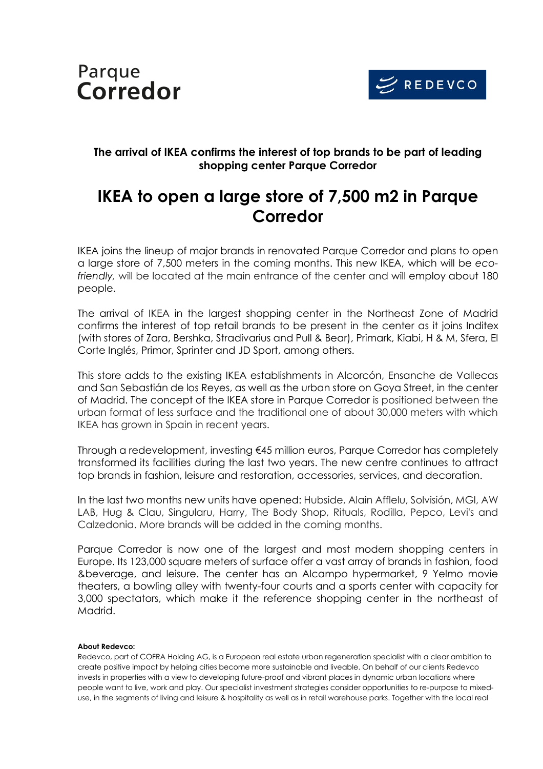



## **The arrival of IKEA confirms the interest of top brands to be part of leading shopping center Parque Corredor**

## **IKEA to open a large store of 7,500 m2 in Parque Corredor**

IKEA joins the lineup of major brands in renovated Parque Corredor and plans to open a large store of 7,500 meters in the coming months. This new IKEA, which will be *ecofriendly,* will be located at the main entrance of the center and will employ about 180 people.

The arrival of IKEA in the largest shopping center in the Northeast Zone of Madrid confirms the interest of top retail brands to be present in the center as it joins Inditex (with stores of Zara, Bershka, Stradivarius and Pull & Bear), Primark, Kiabi, H & M, Sfera, El Corte Inglés, Primor, Sprinter and JD Sport, among others.

This store adds to the existing IKEA establishments in Alcorcón, Ensanche de Vallecas and San Sebastián de los Reyes, as well as the urban store on Goya Street, in the center of Madrid. The concept of the IKEA store in Parque Corredor is positioned between the urban format of less surface and the traditional one of about 30,000 meters with which IKEA has grown in Spain in recent years.

Through a redevelopment, investing €45 million euros, Parque Corredor has completely transformed its facilities during the last two years. The new centre continues to attract top brands in fashion, leisure and restoration, accessories, services, and decoration.

In the last two months new units have opened: Hubside, Alain Afflelu, Solvisión, MGI, AW LAB, Hug & Clau, Singularu, Harry, The Body Shop, Rituals, Rodilla, Pepco, Levi's and Calzedonia. More brands will be added in the coming months.

Parque Corredor is now one of the largest and most modern shopping centers in Europe. Its 123,000 square meters of surface offer a vast array of brands in fashion, food &beverage, and leisure. The center has an Alcampo hypermarket, 9 Yelmo movie theaters, a bowling alley with twenty-four courts and a sports center with capacity for 3,000 spectators, which make it the reference shopping center in the northeast of Madrid.

## **About Redevco:**

Redevco, part of COFRA Holding AG, is a European real estate urban regeneration specialist with a clear ambition to create positive impact by helping cities become more sustainable and liveable. On behalf of our clients Redevco invests in properties with a view to developing future-proof and vibrant places in dynamic urban locations where people want to live, work and play. Our specialist investment strategies consider opportunities to re-purpose to mixeduse, in the segments of living and leisure & hospitality as well as in retail warehouse parks. Together with the local real